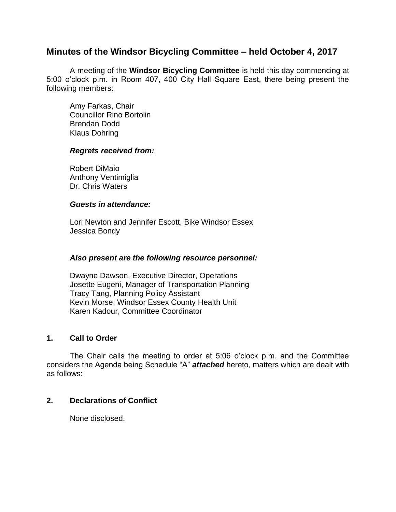# **Minutes of the Windsor Bicycling Committee – held October 4, 2017**

A meeting of the **Windsor Bicycling Committee** is held this day commencing at 5:00 o'clock p.m. in Room 407, 400 City Hall Square East, there being present the following members:

Amy Farkas, Chair Councillor Rino Bortolin Brendan Dodd Klaus Dohring

#### *Regrets received from:*

Robert DiMaio Anthony Ventimiglia Dr. Chris Waters

#### *Guests in attendance:*

Lori Newton and Jennifer Escott, Bike Windsor Essex Jessica Bondy

### *Also present are the following resource personnel:*

Dwayne Dawson, Executive Director, Operations Josette Eugeni, Manager of Transportation Planning Tracy Tang, Planning Policy Assistant Kevin Morse, Windsor Essex County Health Unit Karen Kadour, Committee Coordinator

#### **1. Call to Order**

The Chair calls the meeting to order at 5:06 o'clock p.m. and the Committee considers the Agenda being Schedule "A" *attached* hereto, matters which are dealt with as follows:

### **2. Declarations of Conflict**

None disclosed.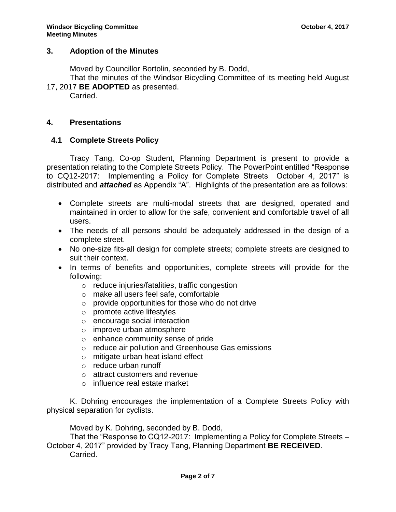## **3. Adoption of the Minutes**

Moved by Councillor Bortolin, seconded by B. Dodd,

That the minutes of the Windsor Bicycling Committee of its meeting held August 17, 2017 **BE ADOPTED** as presented.

Carried.

### **4. Presentations**

## **4.1 Complete Streets Policy**

Tracy Tang, Co-op Student, Planning Department is present to provide a presentation relating to the Complete Streets Policy. The PowerPoint entitled "Response to CQ12-2017: Implementing a Policy for Complete Streets October 4, 2017" is distributed and *attached* as Appendix "A". Highlights of the presentation are as follows:

- Complete streets are multi-modal streets that are designed, operated and maintained in order to allow for the safe, convenient and comfortable travel of all users.
- The needs of all persons should be adequately addressed in the design of a complete street.
- No one-size fits-all design for complete streets; complete streets are designed to suit their context.
- In terms of benefits and opportunities, complete streets will provide for the following:
	- o reduce injuries/fatalities, traffic congestion
	- o make all users feel safe, comfortable
	- o provide opportunities for those who do not drive
	- o promote active lifestyles
	- o encourage social interaction
	- o improve urban atmosphere
	- o enhance community sense of pride
	- o reduce air pollution and Greenhouse Gas emissions
	- o mitigate urban heat island effect
	- o reduce urban runoff
	- o attract customers and revenue
	- o influence real estate market

K. Dohring encourages the implementation of a Complete Streets Policy with physical separation for cyclists.

Moved by K. Dohring, seconded by B. Dodd,

That the "Response to CQ12-2017: Implementing a Policy for Complete Streets – October 4, 2017" provided by Tracy Tang, Planning Department **BE RECEIVED**. Carried.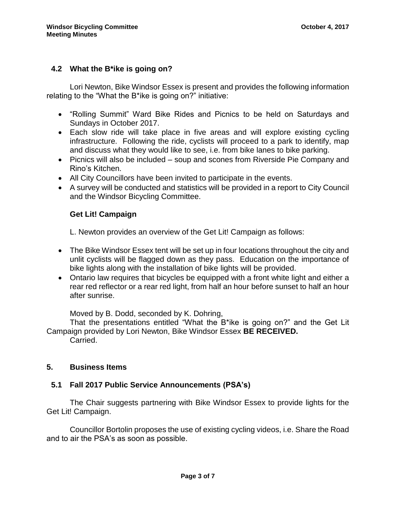## **4.2 What the B\*ike is going on?**

Lori Newton, Bike Windsor Essex is present and provides the following information relating to the "What the B\*ike is going on?" initiative:

- "Rolling Summit" Ward Bike Rides and Picnics to be held on Saturdays and Sundays in October 2017.
- Each slow ride will take place in five areas and will explore existing cycling infrastructure. Following the ride, cyclists will proceed to a park to identify, map and discuss what they would like to see, i.e. from bike lanes to bike parking.
- Picnics will also be included soup and scones from Riverside Pie Company and Rino's Kitchen.
- All City Councillors have been invited to participate in the events.
- A survey will be conducted and statistics will be provided in a report to City Council and the Windsor Bicycling Committee.

### **Get Lit! Campaign**

L. Newton provides an overview of the Get Lit! Campaign as follows:

- The Bike Windsor Essex tent will be set up in four locations throughout the city and unlit cyclists will be flagged down as they pass. Education on the importance of bike lights along with the installation of bike lights will be provided.
- Ontario law requires that bicycles be equipped with a front white light and either a rear red reflector or a rear red light, from half an hour before sunset to half an hour after sunrise.

Moved by B. Dodd, seconded by K. Dohring,

That the presentations entitled "What the B\*ike is going on?" and the Get Lit Campaign provided by Lori Newton, Bike Windsor Essex **BE RECEIVED.**

Carried.

## **5. Business Items**

### **5.1 Fall 2017 Public Service Announcements (PSA's)**

The Chair suggests partnering with Bike Windsor Essex to provide lights for the Get Lit! Campaign.

Councillor Bortolin proposes the use of existing cycling videos, i.e. Share the Road and to air the PSA's as soon as possible.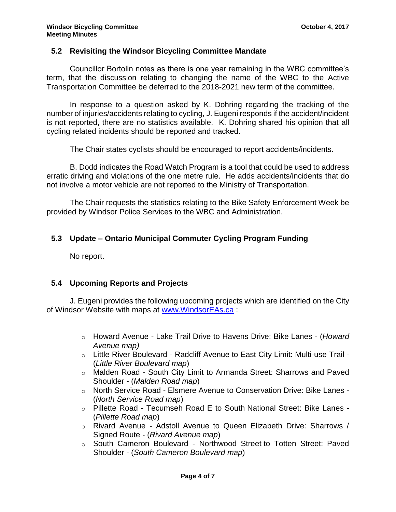#### **5.2 Revisiting the Windsor Bicycling Committee Mandate**

Councillor Bortolin notes as there is one year remaining in the WBC committee's term, that the discussion relating to changing the name of the WBC to the Active Transportation Committee be deferred to the 2018-2021 new term of the committee.

In response to a question asked by K. Dohring regarding the tracking of the number of injuries/accidents relating to cycling, J. Eugeni responds if the accident/incident is not reported, there are no statistics available. K. Dohring shared his opinion that all cycling related incidents should be reported and tracked.

The Chair states cyclists should be encouraged to report accidents/incidents.

B. Dodd indicates the Road Watch Program is a tool that could be used to address erratic driving and violations of the one metre rule. He adds accidents/incidents that do not involve a motor vehicle are not reported to the Ministry of Transportation.

The Chair requests the statistics relating to the Bike Safety Enforcement Week be provided by Windsor Police Services to the WBC and Administration.

### **5.3 Update – Ontario Municipal Commuter Cycling Program Funding**

No report.

### **5.4 Upcoming Reports and Projects**

J. Eugeni provides the following upcoming projects which are identified on the City of Windsor Website with maps at [www.WindsorEAs.ca](http://www.windsoreas.ca/) :

- o Howard Avenue Lake Trail Drive to Havens Drive: Bike Lanes (*[Howard](http://www.citywindsor.ca/residents/Construction/Environmental-Assessments-Master-Plans/Documents/SA-008%20howard%20avenue.pdf)  [Avenue map\)](http://www.citywindsor.ca/residents/Construction/Environmental-Assessments-Master-Plans/Documents/SA-008%20howard%20avenue.pdf)*
- o Little River Boulevard Radcliff Avenue to East City Limit: Multi-use Trail (*[Little River Boulevard](http://www.citywindsor.ca/residents/Construction/Environmental-Assessments-Master-Plans/Documents/SA-005%20little%20river%20boulevard.pdf) map*)
- o Malden Road South City Limit to Armanda Street: Sharrows and Paved Shoulder - (*[Malden Road](http://www.citywindsor.ca/residents/Construction/Environmental-Assessments-Master-Plans/Documents/SA-001%20malden%20road.pdf) map*)
- o North Service Road Elsmere Avenue to Conservation Drive: Bike Lanes (*[North Service Road map](http://www.citywindsor.ca/residents/Construction/Environmental-Assessments-Master-Plans/Documents/SA-003%20north%20service%20road.pdf)*)
- o Pillette Road Tecumseh Road E to South National Street: Bike Lanes (*[Pillette Road map](http://www.citywindsor.ca/residents/Construction/Environmental-Assessments-Master-Plans/Documents/SA-006%20pillette%20road.pdf)*)
- o Rivard Avenue [Adstoll Avenue to Queen Elizabeth Drive: Sharrows /](http://www.citywindsor.ca/residents/Construction/Environmental-Assessments-Master-Plans/Documents/Rivard%20St%20Bike%20Lanes%20Letter%20-%20pdf%20-%20Adobe%20Acrobat%20Pro.pdf)  [Signed Route](http://www.citywindsor.ca/residents/Construction/Environmental-Assessments-Master-Plans/Documents/Rivard%20St%20Bike%20Lanes%20Letter%20-%20pdf%20-%20Adobe%20Acrobat%20Pro.pdf) - (*[Rivard Avenue](http://www.citywindsor.ca/residents/Construction/Environmental-Assessments-Master-Plans/Documents/SA-007%20rivard%20avenue.pdf) map*)
- o South Cameron Boulevard Northwood Street to Totten Street: Paved Shoulder - (*[South Cameron Boulevard](http://www.citywindsor.ca/residents/Construction/Environmental-Assessments-Master-Plans/Documents/SA-002%20south%20cameron%20boulevard.pdf) map*)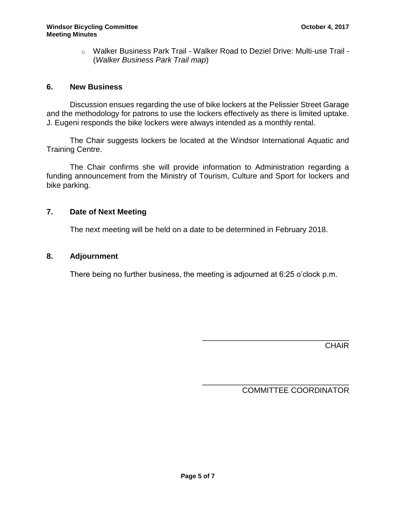o Walker Business Park Trail - Walker Road to Deziel Drive: Multi-use Trail - (*[Walker Business Park Trail](http://www.citywindsor.ca/residents/Construction/Environmental-Assessments-Master-Plans/Documents/SA-004%20walker%20business%20park%20trail.pdf) map*)

## **6. New Business**

Discussion ensues regarding the use of bike lockers at the Pelissier Street Garage and the methodology for patrons to use the lockers effectively as there is limited uptake. J. Eugeni responds the bike lockers were always intended as a monthly rental.

The Chair suggests lockers be located at the Windsor International Aquatic and Training Centre.

The Chair confirms she will provide information to Administration regarding a funding announcement from the Ministry of Tourism, Culture and Sport for lockers and bike parking.

## **7. Date of Next Meeting**

The next meeting will be held on a date to be determined in February 2018.

## **8. Adjournment**

There being no further business, the meeting is adjourned at 6:25 o'clock p.m.

\_\_\_\_\_\_\_\_\_\_\_\_\_\_\_\_\_\_\_\_\_\_\_\_\_\_\_\_\_\_\_\_\_\_ **CHAIR** 

\_\_\_\_\_\_\_\_\_\_\_\_\_\_\_\_\_\_\_\_\_\_\_\_\_\_\_\_\_\_\_\_\_\_ COMMITTEE COORDINATOR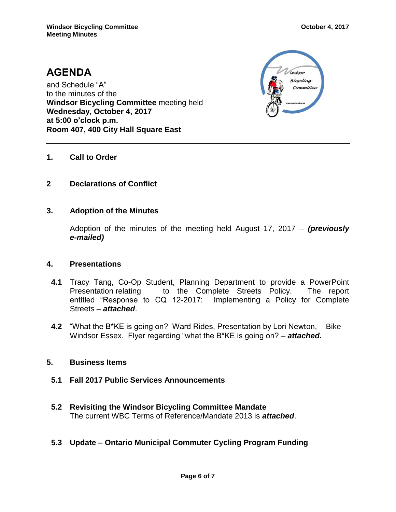# **AGENDA** and Schedule "A" to the minutes of the **Windsor Bicycling Committee** meeting held **Wednesday, October 4, 2017 at 5:00 o'clock p.m. Room 407, 400 City Hall Square East**



## **1. Call to Order**

## **2 Declarations of Conflict**

### **3. Adoption of the Minutes**

Adoption of the minutes of the meeting held August 17, 2017 – *(previously e-mailed)*

### **4. Presentations**

- **4.1** Tracy Tang, Co-Op Student, Planning Department to provide a PowerPoint Presentation relating to the Complete Streets Policy. The report entitled "Response to CQ 12-2017: Implementing a Policy for Complete Streets – *attached*.
- **4.2** "What the B\*KE is going on? Ward Rides, Presentation by Lori Newton, Bike Windsor Essex. Flyer regarding "what the B\*KE is going on? – *attached.*

### **5. Business Items**

- **5.1 Fall 2017 Public Services Announcements**
- **5.2 Revisiting the Windsor Bicycling Committee Mandate** The current WBC Terms of Reference/Mandate 2013 is *attached*.
- **5.3 Update – Ontario Municipal Commuter Cycling Program Funding**